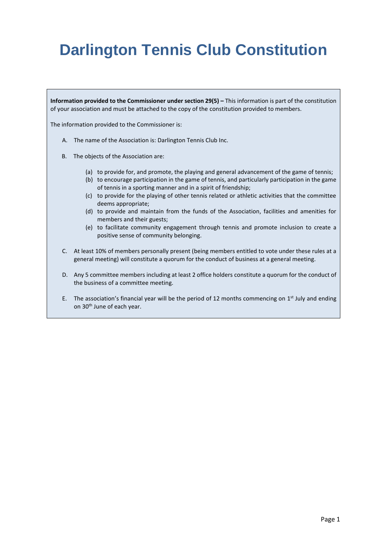# **Darlington Tennis Club Constitution**

**Information provided to the Commissioner under section 29(5) –** This information is part of the constitution of your association and must be attached to the copy of the constitution provided to members.

The information provided to the Commissioner is:

- A. The name of the Association is: Darlington Tennis Club Inc.
- B. The objects of the Association are:
	- (a) to provide for, and promote, the playing and general advancement of the game of tennis;
	- (b) to encourage participation in the game of tennis, and particularly participation in the game of tennis in a sporting manner and in a spirit of friendship;
	- (c) to provide for the playing of other tennis related or athletic activities that the committee deems appropriate;
	- (d) to provide and maintain from the funds of the Association, facilities and amenities for members and their guests;
	- (e) to facilitate community engagement through tennis and promote inclusion to create a positive sense of community belonging.
- C. At least 10% of members personally present (being members entitled to vote under these rules at a general meeting) will constitute a quorum for the conduct of business at a general meeting.
- D. Any 5 committee members including at least 2 office holders constitute a quorum for the conduct of the business of a committee meeting.
- E. The association's financial year will be the period of 12 months commencing on  $1<sup>st</sup>$  July and ending on 30<sup>th</sup> June of each year.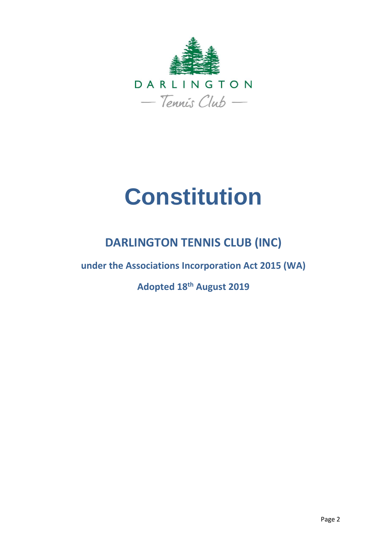

# **Constitution**

# **DARLINGTON TENNIS CLUB (INC)**

**under the Associations Incorporation Act 2015 (WA)**

**Adopted 18th August 2019**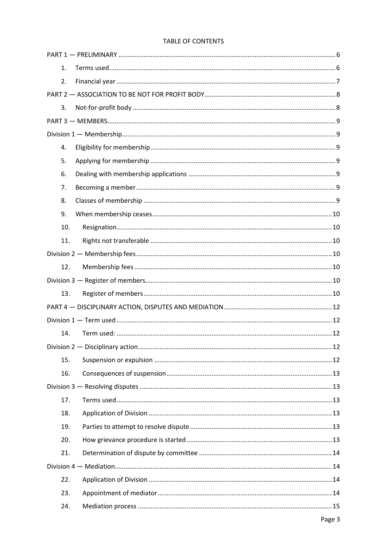## TABLE OF CONTENTS

| 1.  |  |  |  |  |  |
|-----|--|--|--|--|--|
| 2.  |  |  |  |  |  |
|     |  |  |  |  |  |
| 3.  |  |  |  |  |  |
|     |  |  |  |  |  |
|     |  |  |  |  |  |
| 4.  |  |  |  |  |  |
| 5.  |  |  |  |  |  |
| 6.  |  |  |  |  |  |
| 7.  |  |  |  |  |  |
| 8.  |  |  |  |  |  |
| 9.  |  |  |  |  |  |
| 10. |  |  |  |  |  |
| 11. |  |  |  |  |  |
|     |  |  |  |  |  |
| 12. |  |  |  |  |  |
|     |  |  |  |  |  |
| 13. |  |  |  |  |  |
|     |  |  |  |  |  |
|     |  |  |  |  |  |
| 14. |  |  |  |  |  |
|     |  |  |  |  |  |
| 15. |  |  |  |  |  |
| 16. |  |  |  |  |  |
|     |  |  |  |  |  |
| 17. |  |  |  |  |  |
| 18. |  |  |  |  |  |
| 19. |  |  |  |  |  |
| 20. |  |  |  |  |  |
| 21. |  |  |  |  |  |
|     |  |  |  |  |  |
| 22. |  |  |  |  |  |
| 23. |  |  |  |  |  |
| 24. |  |  |  |  |  |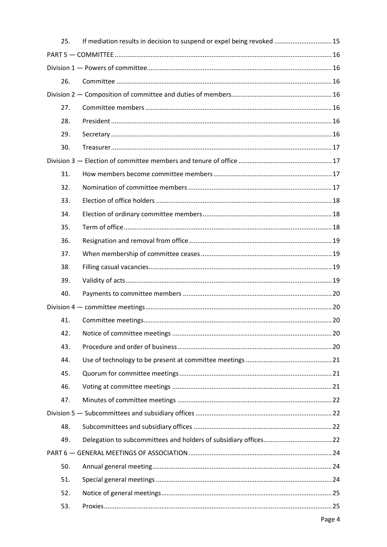| 25. | If mediation results in decision to suspend or expel being revoked  15 |  |
|-----|------------------------------------------------------------------------|--|
|     |                                                                        |  |
|     |                                                                        |  |
| 26. |                                                                        |  |
|     |                                                                        |  |
| 27. |                                                                        |  |
| 28. |                                                                        |  |
| 29. |                                                                        |  |
| 30. |                                                                        |  |
|     |                                                                        |  |
| 31. |                                                                        |  |
| 32. |                                                                        |  |
| 33. |                                                                        |  |
| 34. |                                                                        |  |
| 35. |                                                                        |  |
| 36. |                                                                        |  |
| 37. |                                                                        |  |
| 38. |                                                                        |  |
| 39. |                                                                        |  |
| 40. |                                                                        |  |
|     |                                                                        |  |
| 41. |                                                                        |  |
| 42. |                                                                        |  |
| 43. |                                                                        |  |
| 44. |                                                                        |  |
| 45. |                                                                        |  |
| 46. |                                                                        |  |
| 47. |                                                                        |  |
|     |                                                                        |  |
| 48. |                                                                        |  |
| 49. |                                                                        |  |
|     |                                                                        |  |
| 50. |                                                                        |  |
| 51. |                                                                        |  |
| 52. |                                                                        |  |
| 53. |                                                                        |  |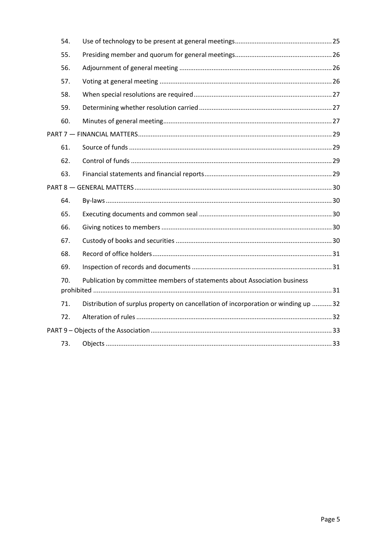<span id="page-4-0"></span>

|  | 54. |                                                                                    |  |  |
|--|-----|------------------------------------------------------------------------------------|--|--|
|  | 55. |                                                                                    |  |  |
|  | 56. |                                                                                    |  |  |
|  | 57. |                                                                                    |  |  |
|  | 58. |                                                                                    |  |  |
|  | 59. |                                                                                    |  |  |
|  | 60. |                                                                                    |  |  |
|  |     |                                                                                    |  |  |
|  | 61. |                                                                                    |  |  |
|  | 62. |                                                                                    |  |  |
|  | 63. |                                                                                    |  |  |
|  |     |                                                                                    |  |  |
|  | 64. |                                                                                    |  |  |
|  | 65. |                                                                                    |  |  |
|  | 66. |                                                                                    |  |  |
|  | 67. |                                                                                    |  |  |
|  | 68. |                                                                                    |  |  |
|  | 69. |                                                                                    |  |  |
|  | 70. | Publication by committee members of statements about Association business          |  |  |
|  |     |                                                                                    |  |  |
|  | 71. | Distribution of surplus property on cancellation of incorporation or winding up 32 |  |  |
|  | 72. |                                                                                    |  |  |
|  |     |                                                                                    |  |  |
|  | 73. |                                                                                    |  |  |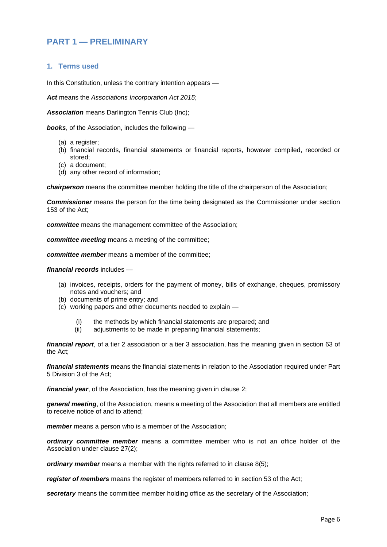# **PART 1 — PRELIMINARY**

#### <span id="page-5-0"></span>**1. Terms used**

In this Constitution, unless the contrary intention appears —

*Act* means the *Associations Incorporation Act 2015*;

*Association* means Darlington Tennis Club (Inc);

*books*, of the Association, includes the following —

- (a) a register;
- (b) financial records, financial statements or financial reports, however compiled, recorded or stored;
- (c) a document;
- (d) any other record of information;

*chairperson* means the committee member holding the title of the chairperson of the Association;

*Commissioner* means the person for the time being designated as the Commissioner under section 153 of the Act;

*committee* means the management committee of the Association;

*committee meeting* means a meeting of the committee;

*committee member* means a member of the committee;

#### *financial records* includes —

- (a) invoices, receipts, orders for the payment of money, bills of exchange, cheques, promissory notes and vouchers; and
- (b) documents of prime entry; and
- (c) working papers and other documents needed to explain
	- (i) the methods by which financial statements are prepared; and
	- (ii) adjustments to be made in preparing financial statements;

*financial report*, of a tier 2 association or a tier 3 association, has the meaning given in section 63 of the Act;

*financial statements* means the financial statements in relation to the Association required under Part 5 Division 3 of the Act;

*financial year*, of the Association, has the meaning given in clause 2;

*general meeting*, of the Association, means a meeting of the Association that all members are entitled to receive notice of and to attend;

*member* means a person who is a member of the Association;

*ordinary committee member* means a committee member who is not an office holder of the Association under clause 27(2);

*ordinary member* means a member with the rights referred to in clause 8(5);

*register of members* means the register of members referred to in section 53 of the Act;

*secretary* means the committee member holding office as the secretary of the Association;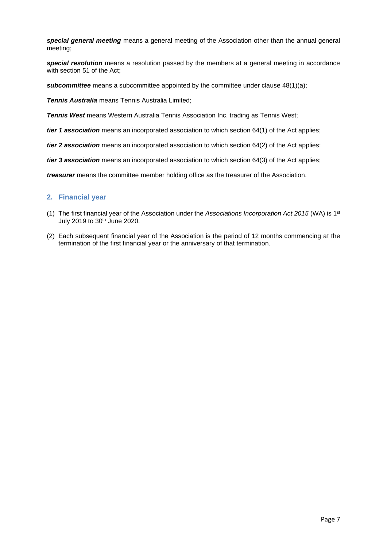*special general meeting* means a general meeting of the Association other than the annual general meeting;

*special resolution* means a resolution passed by the members at a general meeting in accordance with section 51 of the Act;

**subcommittee** means a subcommittee appointed by the committee under clause 48(1)(a);

*Tennis Australia* means Tennis Australia Limited;

*Tennis West* means Western Australia Tennis Association Inc. trading as Tennis West;

*tier 1 association* means an incorporated association to which section 64(1) of the Act applies;

*tier 2 association* means an incorporated association to which section 64(2) of the Act applies;

*tier 3 association* means an incorporated association to which section 64(3) of the Act applies;

*treasurer* means the committee member holding office as the treasurer of the Association.

#### <span id="page-6-0"></span>**2. Financial year**

- (1) The first financial year of the Association under the *Associations Incorporation Act 2015* (WA) is 1 st July 2019 to 30<sup>th</sup> June 2020.
- (2) Each subsequent financial year of the Association is the period of 12 months commencing at the termination of the first financial year or the anniversary of that termination.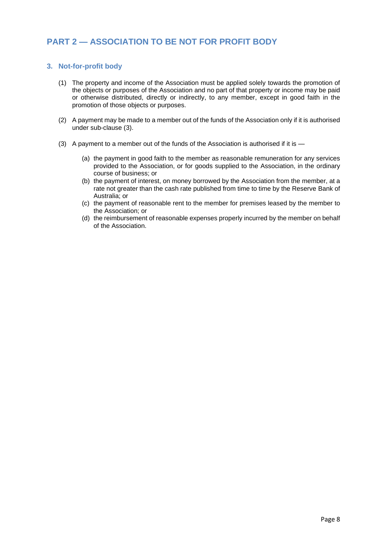# <span id="page-7-0"></span>**PART 2 — ASSOCIATION TO BE NOT FOR PROFIT BODY**

#### <span id="page-7-1"></span>**3. Not-for-profit body**

- (1) The property and income of the Association must be applied solely towards the promotion of the objects or purposes of the Association and no part of that property or income may be paid or otherwise distributed, directly or indirectly, to any member, except in good faith in the promotion of those objects or purposes.
- (2) A payment may be made to a member out of the funds of the Association only if it is authorised under sub-clause (3).
- (3) A payment to a member out of the funds of the Association is authorised if it is
	- (a) the payment in good faith to the member as reasonable remuneration for any services provided to the Association, or for goods supplied to the Association, in the ordinary course of business; or
	- (b) the payment of interest, on money borrowed by the Association from the member, at a rate not greater than the cash rate published from time to time by the Reserve Bank of Australia; or
	- (c) the payment of reasonable rent to the member for premises leased by the member to the Association; or
	- (d) the reimbursement of reasonable expenses properly incurred by the member on behalf of the Association.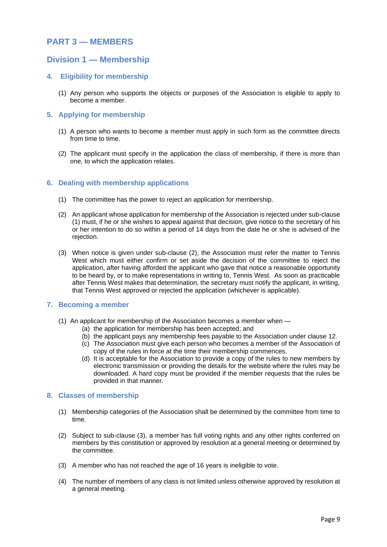# <span id="page-8-0"></span>**PART 3 — MEMBERS**

# <span id="page-8-1"></span>**Division 1 — Membership**

#### <span id="page-8-2"></span>**4. Eligibility for membership**

(1) Any person who supports the objects or purposes of the Association is eligible to apply to become a member.

#### <span id="page-8-3"></span>**5. Applying for membership**

- (1) A person who wants to become a member must apply in such form as the committee directs from time to time.
- (2) The applicant must specify in the application the class of membership, if there is more than one, to which the application relates.

#### <span id="page-8-4"></span>**6. Dealing with membership applications**

- (1) The committee has the power to reject an application for membership.
- (2) An applicant whose application for membership of the Association is rejected under sub-clause (1) must, if he or she wishes to appeal against that decision, give notice to the secretary of his or her intention to do so within a period of 14 days from the date he or she is advised of the rejection.
- (3) When notice is given under sub-clause (2), the Association must refer the matter to Tennis West which must either confirm or set aside the decision of the committee to reject the application, after having afforded the applicant who gave that notice a reasonable opportunity to be heard by, or to make representations in writing to, Tennis West. As soon as practicable after Tennis West makes that determination, the secretary must notify the applicant, in writing, that Tennis West approved or rejected the application (whichever is applicable).

#### <span id="page-8-5"></span>**7. Becoming a member**

- (1) An applicant for membership of the Association becomes a member when
	- (a) the application for membership has been accepted; and
	- (b) the applicant pays any membership fees payable to the Association under clause 12.
	- (c) The Association must give each person who becomes a member of the Association of copy of the rules in force at the time their membership commences.
	- (d) It is acceptable for the Association to provide a copy of the rules to new members by electronic transmission or providing the details for the website where the rules may be downloaded. A hard copy must be provided if the member requests that the rules be provided in that manner.

#### <span id="page-8-6"></span>**8. Classes of membership**

- (1) Membership categories of the Association shall be determined by the committee from time to time.
- (2) Subject to sub-clause (3), a member has full voting rights and any other rights conferred on members by this constitution or approved by resolution at a general meeting or determined by the committee.
- (3) A member who has not reached the age of 16 years is ineligible to vote.
- (4) The number of members of any class is not limited unless otherwise approved by resolution at a general meeting.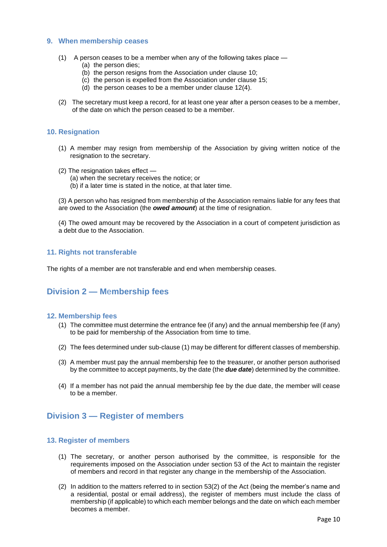#### <span id="page-9-0"></span>**9. When membership ceases**

- (1) A person ceases to be a member when any of the following takes place
	- (a) the person dies;
	- (b) the person resigns from the Association under clause 10;
	- (c) the person is expelled from the Association under clause 15;
	- (d) the person ceases to be a member under clause 12(4).
- (2) The secretary must keep a record, for at least one year after a person ceases to be a member, of the date on which the person ceased to be a member.

#### <span id="page-9-1"></span>**10. Resignation**

- (1) A member may resign from membership of the Association by giving written notice of the resignation to the secretary.
- (2) The resignation takes effect
	- (a) when the secretary receives the notice; or
	- (b) if a later time is stated in the notice, at that later time.

(3) A person who has resigned from membership of the Association remains liable for any fees that are owed to the Association (the *owed amount*) at the time of resignation.

(4) The owed amount may be recovered by the Association in a court of competent jurisdiction as a debt due to the Association.

#### <span id="page-9-2"></span>**11. Rights not transferable**

The rights of a member are not transferable and end when membership ceases.

# <span id="page-9-3"></span>**Division 2 — M**e**mbership fees**

#### <span id="page-9-4"></span>**12. Membership fees**

- (1) The committee must determine the entrance fee (if any) and the annual membership fee (if any) to be paid for membership of the Association from time to time.
- (2) The fees determined under sub-clause (1) may be different for different classes of membership.
- (3) A member must pay the annual membership fee to the treasurer, or another person authorised by the committee to accept payments, by the date (the *due date*) determined by the committee.
- (4) If a member has not paid the annual membership fee by the due date, the member will cease to be a member.

# <span id="page-9-5"></span>**Division 3 — Register of members**

#### <span id="page-9-6"></span>**13. Register of members**

- (1) The secretary, or another person authorised by the committee, is responsible for the requirements imposed on the Association under section 53 of the Act to maintain the register of members and record in that register any change in the membership of the Association.
- (2) In addition to the matters referred to in section 53(2) of the Act (being the member's name and a residential, postal or email address), the register of members must include the class of membership (if applicable) to which each member belongs and the date on which each member becomes a member.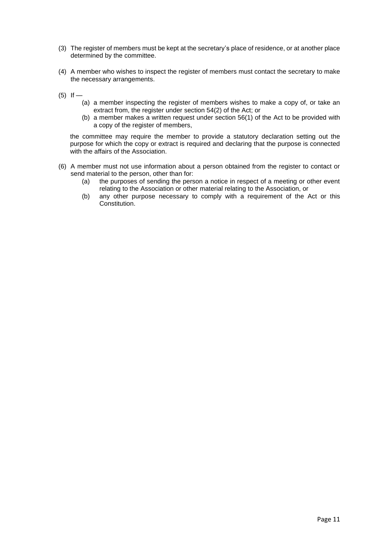- (3) The register of members must be kept at the secretary's place of residence, or at another place determined by the committee.
- (4) A member who wishes to inspect the register of members must contact the secretary to make the necessary arrangements.
- $(5)$  If
	- (a) a member inspecting the register of members wishes to make a copy of, or take an extract from, the register under section 54(2) of the Act; or
	- (b) a member makes a written request under section 56(1) of the Act to be provided with a copy of the register of members,

the committee may require the member to provide a statutory declaration setting out the purpose for which the copy or extract is required and declaring that the purpose is connected with the affairs of the Association.

- (6) A member must not use information about a person obtained from the register to contact or send material to the person, other than for:
	- (a) the purposes of sending the person a notice in respect of a meeting or other event relating to the Association or other material relating to the Association, or
	- (b) any other purpose necessary to comply with a requirement of the Act or this Constitution.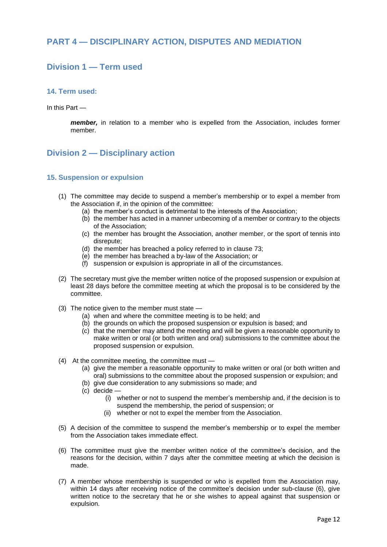# <span id="page-11-0"></span>**PART 4 — DISCIPLINARY ACTION, DISPUTES AND MEDIATION**

# <span id="page-11-1"></span>**Division 1 — Term used**

#### <span id="page-11-2"></span>**14. Term used:**

In this Part —

*member,* in relation to a member who is expelled from the Association, includes former member.

# <span id="page-11-3"></span>**Division 2 — Disciplinary action**

#### <span id="page-11-4"></span>**15. Suspension or expulsion**

- (1) The committee may decide to suspend a member's membership or to expel a member from the Association if, in the opinion of the committee:
	- (a) the member's conduct is detrimental to the interests of the Association;
	- (b) the member has acted in a manner unbecoming of a member or contrary to the objects of the Association;
	- (c) the member has brought the Association, another member, or the sport of tennis into disrepute;
	- (d) the member has breached a policy referred to in clause 73;
	- (e) the member has breached a by-law of the Association; or
	- (f) suspension or expulsion is appropriate in all of the circumstances.
- (2) The secretary must give the member written notice of the proposed suspension or expulsion at least 28 days before the committee meeting at which the proposal is to be considered by the committee.
- (3) The notice given to the member must state
	- (a) when and where the committee meeting is to be held; and
	- (b) the grounds on which the proposed suspension or expulsion is based; and
	- (c) that the member may attend the meeting and will be given a reasonable opportunity to make written or oral (or both written and oral) submissions to the committee about the proposed suspension or expulsion.
- (4) At the committee meeting, the committee must
	- (a) give the member a reasonable opportunity to make written or oral (or both written and oral) submissions to the committee about the proposed suspension or expulsion; and
	- (b) give due consideration to any submissions so made; and
	- (c) decide
		- (i) whether or not to suspend the member's membership and, if the decision is to suspend the membership, the period of suspension; or
		- (ii) whether or not to expel the member from the Association.
- (5) A decision of the committee to suspend the member's membership or to expel the member from the Association takes immediate effect.
- (6) The committee must give the member written notice of the committee's decision, and the reasons for the decision, within 7 days after the committee meeting at which the decision is made.
- (7) A member whose membership is suspended or who is expelled from the Association may, within 14 days after receiving notice of the committee's decision under sub-clause (6), give written notice to the secretary that he or she wishes to appeal against that suspension or expulsion.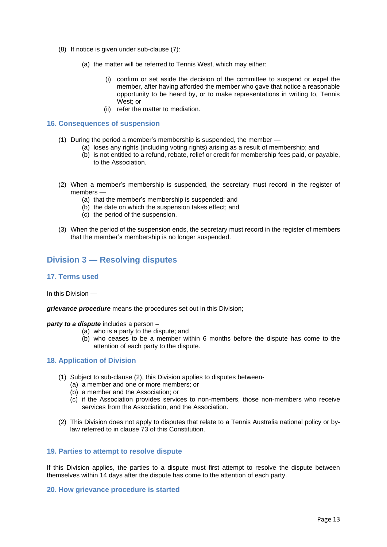- (8) If notice is given under sub-clause (7):
	- (a) the matter will be referred to Tennis West, which may either:
		- (i) confirm or set aside the decision of the committee to suspend or expel the member, after having afforded the member who gave that notice a reasonable opportunity to be heard by, or to make representations in writing to, Tennis West; or
		- (ii) refer the matter to mediation.

#### <span id="page-12-0"></span>**16. Consequences of suspension**

- (1) During the period a member's membership is suspended, the member
	- (a) loses any rights (including voting rights) arising as a result of membership; and
	- (b) is not entitled to a refund, rebate, relief or credit for membership fees paid, or payable, to the Association.
- (2) When a member's membership is suspended, the secretary must record in the register of members —
	- (a) that the member's membership is suspended; and
	- (b) the date on which the suspension takes effect; and
	- (c) the period of the suspension.
- (3) When the period of the suspension ends, the secretary must record in the register of members that the member's membership is no longer suspended.

# <span id="page-12-1"></span>**Division 3 — Resolving disputes**

#### <span id="page-12-2"></span>**17. Terms used**

#### In this Division —

*grievance procedure* means the procedures set out in this Division;

#### *party to a dispute* includes a person –

- (a) who is a party to the dispute; and
- (b) who ceases to be a member within 6 months before the dispute has come to the attention of each party to the dispute.

#### <span id="page-12-3"></span>**18. Application of Division**

- (1) Subject to sub-clause (2), this Division applies to disputes between-
	- (a) a member and one or more members; or
	- (b) a member and the Association; or
	- (c) if the Association provides services to non-members, those non-members who receive services from the Association, and the Association.
- (2) This Division does not apply to disputes that relate to a Tennis Australia national policy or bylaw referred to in clause 73 of this Constitution.

#### <span id="page-12-4"></span>**19. Parties to attempt to resolve dispute**

If this Division applies, the parties to a dispute must first attempt to resolve the dispute between themselves within 14 days after the dispute has come to the attention of each party.

#### <span id="page-12-5"></span>**20. How grievance procedure is started**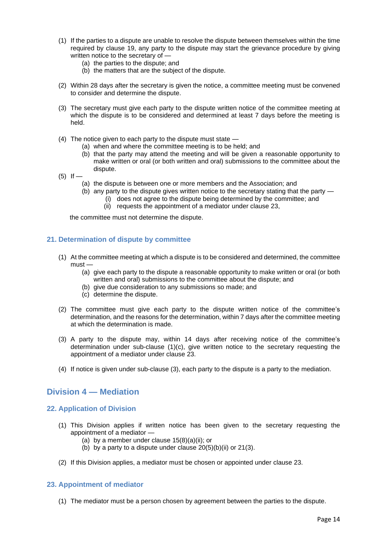- (1) If the parties to a dispute are unable to resolve the dispute between themselves within the time required by clause 19, any party to the dispute may start the grievance procedure by giving written notice to the secretary of —
	- (a) the parties to the dispute; and
	- (b) the matters that are the subject of the dispute.
- (2) Within 28 days after the secretary is given the notice, a committee meeting must be convened to consider and determine the dispute.
- (3) The secretary must give each party to the dispute written notice of the committee meeting at which the dispute is to be considered and determined at least 7 days before the meeting is held.
- (4) The notice given to each party to the dispute must state
	- (a) when and where the committee meeting is to be held; and
	- (b) that the party may attend the meeting and will be given a reasonable opportunity to make written or oral (or both written and oral) submissions to the committee about the dispute.
- $(5)$  If
	- (a) the dispute is between one or more members and the Association; and
	- (b) any party to the dispute gives written notice to the secretary stating that the party
		- (i) does not agree to the dispute being determined by the committee; and
		- (ii) requests the appointment of a mediator under clause 23,

the committee must not determine the dispute.

#### <span id="page-13-0"></span>**21. Determination of dispute by committee**

- (1) At the committee meeting at which a dispute is to be considered and determined, the committee must —
	- (a) give each party to the dispute a reasonable opportunity to make written or oral (or both written and oral) submissions to the committee about the dispute; and
	- (b) give due consideration to any submissions so made; and
	- (c) determine the dispute.
- (2) The committee must give each party to the dispute written notice of the committee's determination, and the reasons for the determination, within 7 days after the committee meeting at which the determination is made.
- (3) A party to the dispute may, within 14 days after receiving notice of the committee's determination under sub-clause (1)(c), give written notice to the secretary requesting the appointment of a mediator under clause 23.
- (4) If notice is given under sub-clause (3), each party to the dispute is a party to the mediation.

# <span id="page-13-1"></span>**Division 4 — Mediation**

#### <span id="page-13-2"></span>**22. Application of Division**

- (1) This Division applies if written notice has been given to the secretary requesting the appointment of a mediator —
	- (a) by a member under clause 15(8)(a)(ii); or
	- (b) by a party to a dispute under clause  $20(5)(b)(ii)$  or  $21(3)$ .
- (2) If this Division applies, a mediator must be chosen or appointed under clause 23.

#### <span id="page-13-3"></span>**23. Appointment of mediator**

(1) The mediator must be a person chosen by agreement between the parties to the dispute.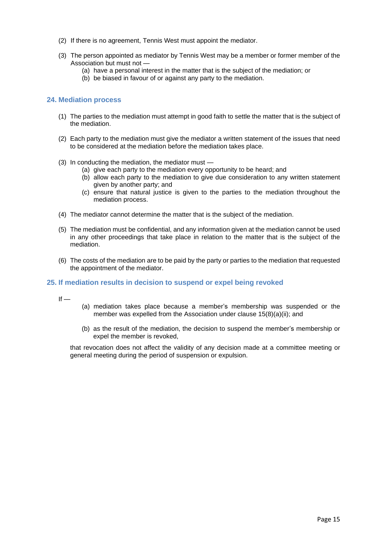- (2) If there is no agreement, Tennis West must appoint the mediator.
- (3) The person appointed as mediator by Tennis West may be a member or former member of the Association but must not —
	- (a) have a personal interest in the matter that is the subject of the mediation; or
	- (b) be biased in favour of or against any party to the mediation.

#### <span id="page-14-0"></span>**24. Mediation process**

- (1) The parties to the mediation must attempt in good faith to settle the matter that is the subject of the mediation.
- (2) Each party to the mediation must give the mediator a written statement of the issues that need to be considered at the mediation before the mediation takes place.
- (3) In conducting the mediation, the mediator must
	- (a) give each party to the mediation every opportunity to be heard; and
	- (b) allow each party to the mediation to give due consideration to any written statement given by another party; and
	- (c) ensure that natural justice is given to the parties to the mediation throughout the mediation process.
- (4) The mediator cannot determine the matter that is the subject of the mediation.
- (5) The mediation must be confidential, and any information given at the mediation cannot be used in any other proceedings that take place in relation to the matter that is the subject of the mediation.
- (6) The costs of the mediation are to be paid by the party or parties to the mediation that requested the appointment of the mediator.

#### <span id="page-14-1"></span>**25. If mediation results in decision to suspend or expel being revoked**

 $If -$ 

- (a) mediation takes place because a member's membership was suspended or the member was expelled from the Association under clause 15(8)(a)(ii); and
- (b) as the result of the mediation, the decision to suspend the member's membership or expel the member is revoked,

<span id="page-14-2"></span>that revocation does not affect the validity of any decision made at a committee meeting or general meeting during the period of suspension or expulsion.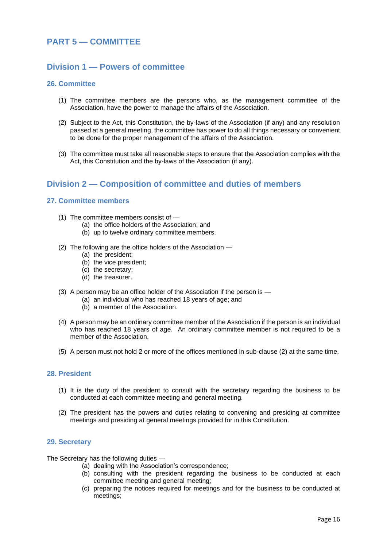# **PART 5 — COMMITTEE**

# <span id="page-15-0"></span>**Division 1 — Powers of committee**

#### <span id="page-15-1"></span>**26. Committee**

- (1) The committee members are the persons who, as the management committee of the Association, have the power to manage the affairs of the Association.
- (2) Subject to the Act, this Constitution, the by-laws of the Association (if any) and any resolution passed at a general meeting, the committee has power to do all things necessary or convenient to be done for the proper management of the affairs of the Association.
- (3) The committee must take all reasonable steps to ensure that the Association complies with the Act, this Constitution and the by-laws of the Association (if any).

# <span id="page-15-2"></span>**Division 2 — Composition of committee and duties of members**

#### <span id="page-15-3"></span>**27. Committee members**

- (1) The committee members consist of
	- (a) the office holders of the Association; and
	- (b) up to twelve ordinary committee members.
- (2) The following are the office holders of the Association
	- (a) the president;
	- (b) the vice president;
	- (c) the secretary;
	- (d) the treasurer.
- (3) A person may be an office holder of the Association if the person is
	- (a) an individual who has reached 18 years of age; and
	- (b) a member of the Association.
- (4) A person may be an ordinary committee member of the Association if the person is an individual who has reached 18 years of age. An ordinary committee member is not required to be a member of the Association.
- (5) A person must not hold 2 or more of the offices mentioned in sub-clause (2) at the same time.

#### <span id="page-15-4"></span>**28. President**

- (1) It is the duty of the president to consult with the secretary regarding the business to be conducted at each committee meeting and general meeting.
- (2) The president has the powers and duties relating to convening and presiding at committee meetings and presiding at general meetings provided for in this Constitution.

#### <span id="page-15-5"></span>**29. Secretary**

The Secretary has the following duties —

- (a) dealing with the Association's correspondence;
- (b) consulting with the president regarding the business to be conducted at each committee meeting and general meeting;
- (c) preparing the notices required for meetings and for the business to be conducted at meetings;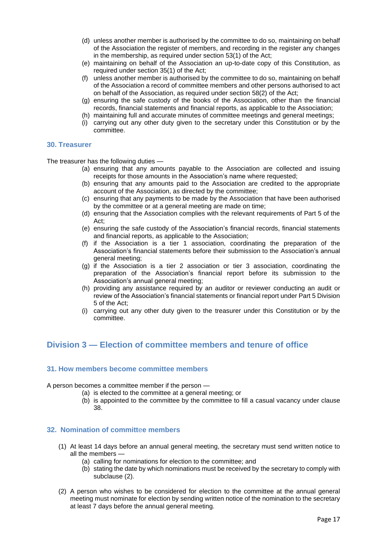- (d) unless another member is authorised by the committee to do so, maintaining on behalf of the Association the register of members, and recording in the register any changes in the membership, as required under section 53(1) of the Act;
- (e) maintaining on behalf of the Association an up-to-date copy of this Constitution, as required under section 35(1) of the Act;
- (f) unless another member is authorised by the committee to do so, maintaining on behalf of the Association a record of committee members and other persons authorised to act on behalf of the Association, as required under section 58(2) of the Act;
- (g) ensuring the safe custody of the books of the Association, other than the financial records, financial statements and financial reports, as applicable to the Association;
- (h) maintaining full and accurate minutes of committee meetings and general meetings;
- (i) carrying out any other duty given to the secretary under this Constitution or by the committee.

#### <span id="page-16-0"></span>**30. Treasurer**

The treasurer has the following duties —

- (a) ensuring that any amounts payable to the Association are collected and issuing receipts for those amounts in the Association's name where requested;
- (b) ensuring that any amounts paid to the Association are credited to the appropriate account of the Association, as directed by the committee;
- (c) ensuring that any payments to be made by the Association that have been authorised by the committee or at a general meeting are made on time;
- (d) ensuring that the Association complies with the relevant requirements of Part 5 of the Act;
- (e) ensuring the safe custody of the Association's financial records, financial statements and financial reports, as applicable to the Association;
- (f) if the Association is a tier 1 association, coordinating the preparation of the Association's financial statements before their submission to the Association's annual general meeting;
- (g) if the Association is a tier 2 association or tier 3 association, coordinating the preparation of the Association's financial report before its submission to the Association's annual general meeting;
- (h) providing any assistance required by an auditor or reviewer conducting an audit or review of the Association's financial statements or financial report under Part 5 Division 5 of the Act;
- (i) carrying out any other duty given to the treasurer under this Constitution or by the committee.

# <span id="page-16-1"></span>**Division 3 — Election of committee members and tenure of office**

#### <span id="page-16-2"></span>**31. How members become committee members**

A person becomes a committee member if the person —

- (a) is elected to the committee at a general meeting; or
- (b) is appointed to the committee by the committee to fill a casual vacancy under clause 38.

#### <span id="page-16-3"></span>**32. Nomination of committ**e**e members**

- (1) At least 14 days before an annual general meeting, the secretary must send written notice to all the members —
	- (a) calling for nominations for election to the committee; and
	- (b) stating the date by which nominations must be received by the secretary to comply with subclause (2).
- (2) A person who wishes to be considered for election to the committee at the annual general meeting must nominate for election by sending written notice of the nomination to the secretary at least 7 days before the annual general meeting.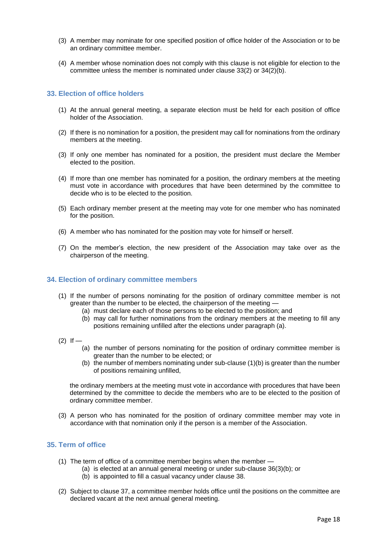- (3) A member may nominate for one specified position of office holder of the Association or to be an ordinary committee member.
- (4) A member whose nomination does not comply with this clause is not eligible for election to the committee unless the member is nominated under clause 33(2) or 34(2)(b).

#### <span id="page-17-0"></span>**33. Election of office holders**

- (1) At the annual general meeting, a separate election must be held for each position of office holder of the Association.
- (2) If there is no nomination for a position, the president may call for nominations from the ordinary members at the meeting.
- (3) If only one member has nominated for a position, the president must declare the Member elected to the position.
- (4) If more than one member has nominated for a position, the ordinary members at the meeting must vote in accordance with procedures that have been determined by the committee to decide who is to be elected to the position.
- (5) Each ordinary member present at the meeting may vote for one member who has nominated for the position.
- (6) A member who has nominated for the position may vote for himself or herself.
- (7) On the member's election, the new president of the Association may take over as the chairperson of the meeting.

#### <span id="page-17-1"></span>**34. Election of ordinary committee members**

- (1) If the number of persons nominating for the position of ordinary committee member is not greater than the number to be elected, the chairperson of the meeting —
	- (a) must declare each of those persons to be elected to the position; and
	- (b) may call for further nominations from the ordinary members at the meeting to fill any positions remaining unfilled after the elections under paragraph (a).
- $(2)$  If
	- (a) the number of persons nominating for the position of ordinary committee member is greater than the number to be elected; or
	- (b) the number of members nominating under sub-clause (1)(b) is greater than the number of positions remaining unfilled,

the ordinary members at the meeting must vote in accordance with procedures that have been determined by the committee to decide the members who are to be elected to the position of ordinary committee member.

(3) A person who has nominated for the position of ordinary committee member may vote in accordance with that nomination only if the person is a member of the Association.

#### <span id="page-17-2"></span>**35. Term of office**

- (1) The term of office of a committee member begins when the member
	- (a) is elected at an annual general meeting or under sub-clause 36(3)(b); or
	- (b) is appointed to fill a casual vacancy under clause 38.
- (2) Subject to clause 37, a committee member holds office until the positions on the committee are declared vacant at the next annual general meeting.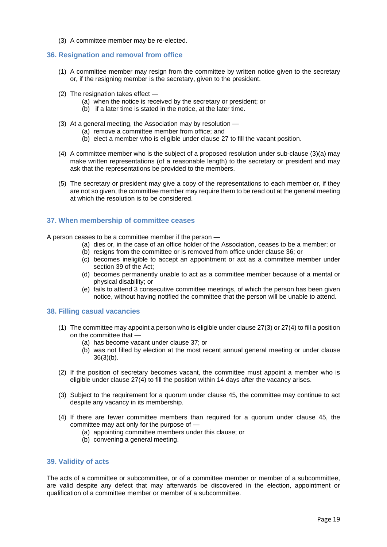(3) A committee member may be re-elected.

#### <span id="page-18-0"></span>**36. Resignation and removal from office**

- (1) A committee member may resign from the committee by written notice given to the secretary or, if the resigning member is the secretary, given to the president.
- (2) The resignation takes effect
	- (a) when the notice is received by the secretary or president; or
	- (b) if a later time is stated in the notice, at the later time.
- (3) At a general meeting, the Association may by resolution
	- (a) remove a committee member from office; and
	- (b) elect a member who is eligible under clause 27 to fill the vacant position.
- (4) A committee member who is the subject of a proposed resolution under sub-clause (3)(a) may make written representations (of a reasonable length) to the secretary or president and may ask that the representations be provided to the members.
- (5) The secretary or president may give a copy of the representations to each member or, if they are not so given, the committee member may require them to be read out at the general meeting at which the resolution is to be considered.

#### <span id="page-18-1"></span>**37. When membership of committee ceases**

A person ceases to be a committee member if the person —

- (a) dies or, in the case of an office holder of the Association, ceases to be a member; or
- (b) resigns from the committee or is removed from office under clause 36; or
- (c) becomes ineligible to accept an appointment or act as a committee member under section 39 of the Act;
- (d) becomes permanently unable to act as a committee member because of a mental or physical disability; or
- (e) fails to attend 3 consecutive committee meetings, of which the person has been given notice, without having notified the committee that the person will be unable to attend.

#### <span id="page-18-2"></span>**38. Filling casual vacancies**

- (1) The committee may appoint a person who is eligible under clause 27(3) or 27(4) to fill a position on the committee that —
	- (a) has become vacant under clause 37; or
	- (b) was not filled by election at the most recent annual general meeting or under clause  $36(3)(b)$ .
- (2) If the position of secretary becomes vacant, the committee must appoint a member who is eligible under clause 27(4) to fill the position within 14 days after the vacancy arises.
- (3) Subject to the requirement for a quorum under clause 45, the committee may continue to act despite any vacancy in its membership.
- (4) If there are fewer committee members than required for a quorum under clause 45, the committee may act only for the purpose of —
	- (a) appointing committee members under this clause; or
	- (b) convening a general meeting.

#### <span id="page-18-3"></span>**39. Validity of acts**

The acts of a committee or subcommittee, or of a committee member or member of a subcommittee, are valid despite any defect that may afterwards be discovered in the election, appointment or qualification of a committee member or member of a subcommittee.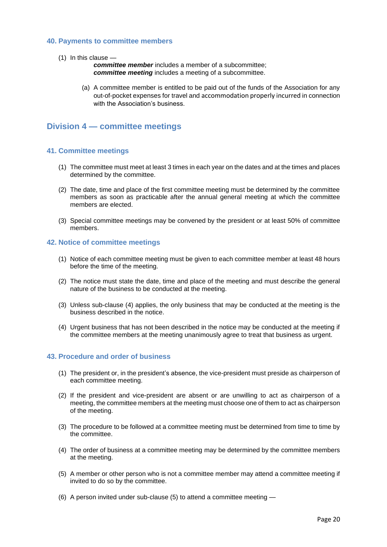#### <span id="page-19-0"></span>**40. Payments to committee members**

(1) In this clause —

*committee member* includes a member of a subcommittee; *committee meeting* includes a meeting of a subcommittee.

(a) A committee member is entitled to be paid out of the funds of the Association for any out-of-pocket expenses for travel and accommodation properly incurred in connection with the Association's business.

## <span id="page-19-1"></span>**Division 4 — committee meetings**

#### <span id="page-19-2"></span>**41. Committee meetings**

- (1) The committee must meet at least 3 times in each year on the dates and at the times and places determined by the committee.
- (2) The date, time and place of the first committee meeting must be determined by the committee members as soon as practicable after the annual general meeting at which the committee members are elected.
- (3) Special committee meetings may be convened by the president or at least 50% of committee members.

#### <span id="page-19-3"></span>**42. Notice of committee meetings**

- (1) Notice of each committee meeting must be given to each committee member at least 48 hours before the time of the meeting.
- (2) The notice must state the date, time and place of the meeting and must describe the general nature of the business to be conducted at the meeting.
- (3) Unless sub-clause (4) applies, the only business that may be conducted at the meeting is the business described in the notice.
- (4) Urgent business that has not been described in the notice may be conducted at the meeting if the committee members at the meeting unanimously agree to treat that business as urgent.

#### <span id="page-19-4"></span>**43. Procedure and order of business**

- (1) The president or, in the president's absence, the vice-president must preside as chairperson of each committee meeting.
- (2) If the president and vice-president are absent or are unwilling to act as chairperson of a meeting, the committee members at the meeting must choose one of them to act as chairperson of the meeting.
- (3) The procedure to be followed at a committee meeting must be determined from time to time by the committee.
- (4) The order of business at a committee meeting may be determined by the committee members at the meeting.
- (5) A member or other person who is not a committee member may attend a committee meeting if invited to do so by the committee.
- (6) A person invited under sub-clause (5) to attend a committee meeting —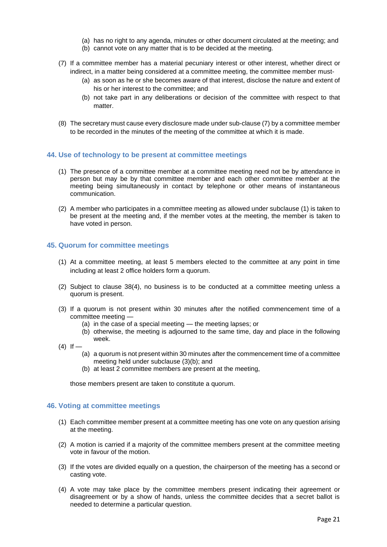- (a) has no right to any agenda, minutes or other document circulated at the meeting; and
- (b) cannot vote on any matter that is to be decided at the meeting.
- (7) If a committee member has a material pecuniary interest or other interest, whether direct or indirect, in a matter being considered at a committee meeting, the committee member must-
	- (a) as soon as he or she becomes aware of that interest, disclose the nature and extent of his or her interest to the committee; and
	- (b) not take part in any deliberations or decision of the committee with respect to that matter.
- (8) The secretary must cause every disclosure made under sub-clause (7) by a committee member to be recorded in the minutes of the meeting of the committee at which it is made.

#### <span id="page-20-0"></span>**44. Use of technology to be present at committee meetings**

- (1) The presence of a committee member at a committee meeting need not be by attendance in person but may be by that committee member and each other committee member at the meeting being simultaneously in contact by telephone or other means of instantaneous communication.
- (2) A member who participates in a committee meeting as allowed under subclause (1) is taken to be present at the meeting and, if the member votes at the meeting, the member is taken to have voted in person.

#### <span id="page-20-1"></span>**45. Quorum for committee meetings**

- (1) At a committee meeting, at least 5 members elected to the committee at any point in time including at least 2 office holders form a quorum.
- (2) Subject to clause 38(4), no business is to be conducted at a committee meeting unless a quorum is present.
- (3) If a quorum is not present within 30 minutes after the notified commencement time of a committee meeting —
	- (a) in the case of a special meeting the meeting lapses; or
	- (b) otherwise, the meeting is adjourned to the same time, day and place in the following week.
- $(4)$  If
	- (a) a quorum is not present within 30 minutes after the commencement time of a committee meeting held under subclause (3)(b); and
	- (b) at least 2 committee members are present at the meeting,

those members present are taken to constitute a quorum.

#### <span id="page-20-2"></span>**46. Voting at committee meetings**

- (1) Each committee member present at a committee meeting has one vote on any question arising at the meeting.
- (2) A motion is carried if a majority of the committee members present at the committee meeting vote in favour of the motion.
- (3) If the votes are divided equally on a question, the chairperson of the meeting has a second or casting vote.
- (4) A vote may take place by the committee members present indicating their agreement or disagreement or by a show of hands, unless the committee decides that a secret ballot is needed to determine a particular question.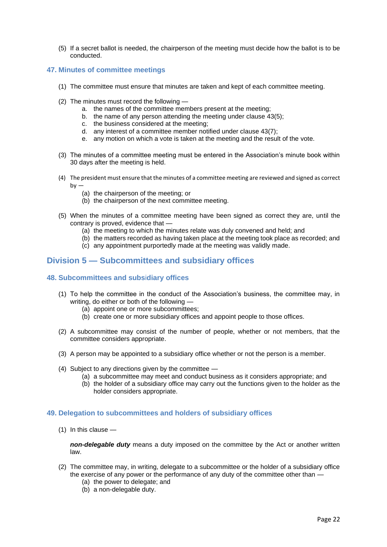(5) If a secret ballot is needed, the chairperson of the meeting must decide how the ballot is to be conducted.

#### <span id="page-21-0"></span>**47. Minutes of committee meetings**

- (1) The committee must ensure that minutes are taken and kept of each committee meeting.
- (2) The minutes must record the following
	- a. the names of the committee members present at the meeting;
	- b. the name of any person attending the meeting under clause 43(5);
	- c. the business considered at the meeting;
	- d. any interest of a committee member notified under clause 43(7);
	- e. any motion on which a vote is taken at the meeting and the result of the vote.
- (3) The minutes of a committee meeting must be entered in the Association's minute book within 30 days after the meeting is held.
- (4) The president must ensure that the minutes of a committee meeting are reviewed and signed as correct  $bv -$ 
	- (a) the chairperson of the meeting; or
	- (b) the chairperson of the next committee meeting.
- (5) When the minutes of a committee meeting have been signed as correct they are, until the contrary is proved, evidence that —
	- (a) the meeting to which the minutes relate was duly convened and held; and
	- (b) the matters recorded as having taken place at the meeting took place as recorded; and
	- (c) any appointment purportedly made at the meeting was validly made.

# <span id="page-21-1"></span>**Division 5 — Subcommittees and subsidiary offices**

#### <span id="page-21-2"></span>**48. Subcommittees and subs**i**diary offices**

- (1) To help the committee in the conduct of the Association's business, the committee may, in writing, do either or both of the following —
	- (a) appoint one or more subcommittees;
	- (b) create one or more subsidiary offices and appoint people to those offices.
- (2) A subcommittee may consist of the number of people, whether or not members, that the committee considers appropriate.
- (3) A person may be appointed to a subsidiary office whether or not the person is a member.
- (4) Subject to any directions given by the committee
	- (a) a subcommittee may meet and conduct business as it considers appropriate; and
	- (b) the holder of a subsidiary office may carry out the functions given to the holder as the holder considers appropriate.

#### <span id="page-21-3"></span>**49. Delegation to subcommittees and holders of subsidiary offices**

(1) In this clause —

*non-delegable duty* means a duty imposed on the committee by the Act or another written law.

- (2) The committee may, in writing, delegate to a subcommittee or the holder of a subsidiary office the exercise of any power or the performance of any duty of the committee other than —
	- (a) the power to delegate; and
	- (b) a non-delegable duty.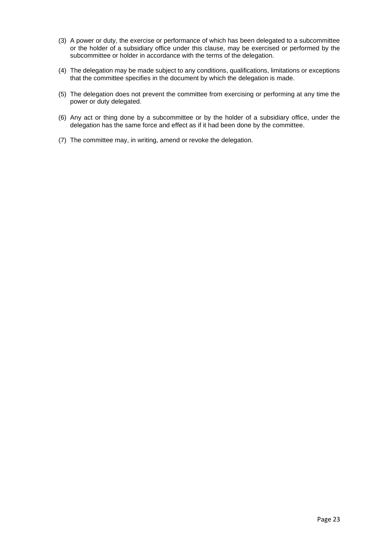- (3) A power or duty, the exercise or performance of which has been delegated to a subcommittee or the holder of a subsidiary office under this clause, may be exercised or performed by the subcommittee or holder in accordance with the terms of the delegation.
- (4) The delegation may be made subject to any conditions, qualifications, limitations or exceptions that the committee specifies in the document by which the delegation is made.
- (5) The delegation does not prevent the committee from exercising or performing at any time the power or duty delegated.
- (6) Any act or thing done by a subcommittee or by the holder of a subsidiary office, under the delegation has the same force and effect as if it had been done by the committee.
- (7) The committee may, in writing, amend or revoke the delegation.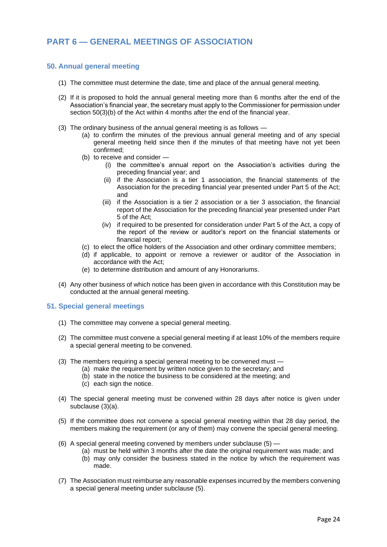# <span id="page-23-0"></span>**PART 6 — GENERAL MEETINGS OF ASSOCIATION**

#### <span id="page-23-1"></span>**50. Annual general meeting**

- (1) The committee must determine the date, time and place of the annual general meeting.
- (2) If it is proposed to hold the annual general meeting more than 6 months after the end of the Association's financial year, the secretary must apply to the Commissioner for permission under section 50(3)(b) of the Act within 4 months after the end of the financial year.
- (3) The ordinary business of the annual general meeting is as follows
	- (a) to confirm the minutes of the previous annual general meeting and of any special general meeting held since then if the minutes of that meeting have not yet been confirmed;
	- (b) to receive and consider
		- (i) the committee's annual report on the Association's activities during the preceding financial year; and
		- (ii) if the Association is a tier 1 association, the financial statements of the Association for the preceding financial year presented under Part 5 of the Act; and
		- (iii) if the Association is a tier 2 association or a tier 3 association, the financial report of the Association for the preceding financial year presented under Part 5 of the Act;
		- (iv) if required to be presented for consideration under Part 5 of the Act, a copy of the report of the review or auditor's report on the financial statements or financial report;
	- (c) to elect the office holders of the Association and other ordinary committee members;
	- (d) if applicable, to appoint or remove a reviewer or auditor of the Association in accordance with the Act;
	- (e) to determine distribution and amount of any Honorariums.
- (4) Any other business of which notice has been given in accordance with this Constitution may be conducted at the annual general meeting.

#### <span id="page-23-2"></span>**51. Special general meetings**

- (1) The committee may convene a special general meeting.
- (2) The committee must convene a special general meeting if at least 10% of the members require a special general meeting to be convened.
- (3) The members requiring a special general meeting to be convened must
	- (a) make the requirement by written notice given to the secretary; and
	- (b) state in the notice the business to be considered at the meeting; and
	- (c) each sign the notice.
- (4) The special general meeting must be convened within 28 days after notice is given under subclause (3)(a).
- (5) If the committee does not convene a special general meeting within that 28 day period, the members making the requirement (or any of them) may convene the special general meeting.
- (6) A special general meeting convened by members under subclause (5)
	- (a) must be held within 3 months after the date the original requirement was made; and (b) may only consider the business stated in the notice by which the requirement was made.
- (7) The Association must reimburse any reasonable expenses incurred by the members convening a special general meeting under subclause (5).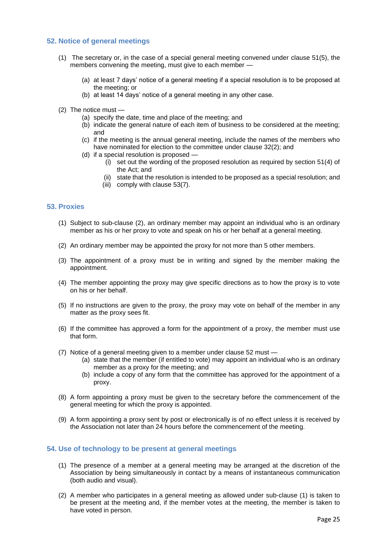#### <span id="page-24-0"></span>**52. Notice of general meetings**

- (1) The secretary or, in the case of a special general meeting convened under clause 51(5), the members convening the meeting, must give to each member —
	- (a) at least 7 days' notice of a general meeting if a special resolution is to be proposed at the meeting; or
	- (b) at least 14 days' notice of a general meeting in any other case.
- (2) The notice must
	- (a) specify the date, time and place of the meeting; and
	- (b) indicate the general nature of each item of business to be considered at the meeting; and
	- (c) if the meeting is the annual general meeting, include the names of the members who have nominated for election to the committee under clause 32(2); and
	- (d) if a special resolution is proposed
		- (i) set out the wording of the proposed resolution as required by section 51(4) of the Act; and
		- (ii) state that the resolution is intended to be proposed as a special resolution; and
		- (iii) comply with clause 53(7).

#### <span id="page-24-1"></span>**53. Proxies**

- (1) Subject to sub-clause (2), an ordinary member may appoint an individual who is an ordinary member as his or her proxy to vote and speak on his or her behalf at a general meeting.
- (2) An ordinary member may be appointed the proxy for not more than 5 other members.
- (3) The appointment of a proxy must be in writing and signed by the member making the appointment.
- (4) The member appointing the proxy may give specific directions as to how the proxy is to vote on his or her behalf.
- (5) If no instructions are given to the proxy, the proxy may vote on behalf of the member in any matter as the proxy sees fit.
- (6) If the committee has approved a form for the appointment of a proxy, the member must use that form.
- (7) Notice of a general meeting given to a member under clause 52 must
	- (a) state that the member (if entitled to vote) may appoint an individual who is an ordinary member as a proxy for the meeting; and
	- (b) include a copy of any form that the committee has approved for the appointment of a proxy.
- (8) A form appointing a proxy must be given to the secretary before the commencement of the general meeting for which the proxy is appointed.
- (9) A form appointing a proxy sent by post or electronically is of no effect unless it is received by the Association not later than 24 hours before the commencement of the meeting.

#### <span id="page-24-2"></span>**54. Use of technology to be present at general meetings**

- (1) The presence of a member at a general meeting may be arranged at the discretion of the Association by being simultaneously in contact by a means of instantaneous communication (both audio and visual).
- (2) A member who participates in a general meeting as allowed under sub-clause (1) is taken to be present at the meeting and, if the member votes at the meeting, the member is taken to have voted in person.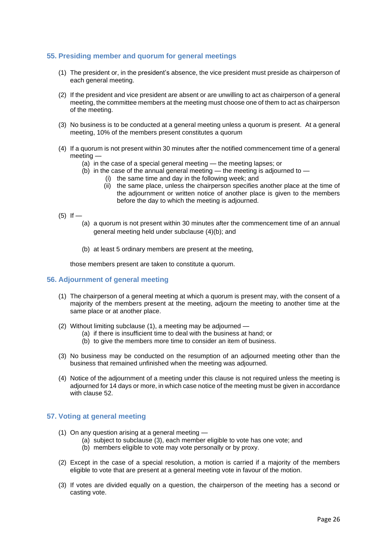#### <span id="page-25-0"></span>**55. Presiding member and quorum for general meetings**

- (1) The president or, in the president's absence, the vice president must preside as chairperson of each general meeting.
- (2) If the president and vice president are absent or are unwilling to act as chairperson of a general meeting, the committee members at the meeting must choose one of them to act as chairperson of the meeting.
- (3) No business is to be conducted at a general meeting unless a quorum is present. At a general meeting, 10% of the members present constitutes a quorum
- (4) If a quorum is not present within 30 minutes after the notified commencement time of a general meeting —
	- (a) in the case of a special general meeting the meeting lapses; or
	- (b) in the case of the annual general meeting the meeting is adjourned to
		- (i) the same time and day in the following week; and
			- (ii) the same place, unless the chairperson specifies another place at the time of the adjournment or written notice of another place is given to the members before the day to which the meeting is adjourned.
- $(5)$  If
	- (a) a quorum is not present within 30 minutes after the commencement time of an annual general meeting held under subclause (4)(b); and
	- (b) at least 5 ordinary members are present at the meeting,

those members present are taken to constitute a quorum.

#### <span id="page-25-1"></span>**56. Adjournment of general meeting**

- (1) The chairperson of a general meeting at which a quorum is present may, with the consent of a majority of the members present at the meeting, adjourn the meeting to another time at the same place or at another place.
- (2) Without limiting subclause (1), a meeting may be adjourned
	- (a) if there is insufficient time to deal with the business at hand; or
	- (b) to give the members more time to consider an item of business.
- (3) No business may be conducted on the resumption of an adjourned meeting other than the business that remained unfinished when the meeting was adjourned.
- (4) Notice of the adjournment of a meeting under this clause is not required unless the meeting is adjourned for 14 days or more, in which case notice of the meeting must be given in accordance with clause 52.

#### <span id="page-25-2"></span>**57. Voting at general meeting**

- (1) On any question arising at a general meeting
	- (a) subject to subclause (3), each member eligible to vote has one vote; and
	- (b) members eligible to vote may vote personally or by proxy.
- (2) Except in the case of a special resolution, a motion is carried if a majority of the members eligible to vote that are present at a general meeting vote in favour of the motion.
- (3) If votes are divided equally on a question, the chairperson of the meeting has a second or casting vote.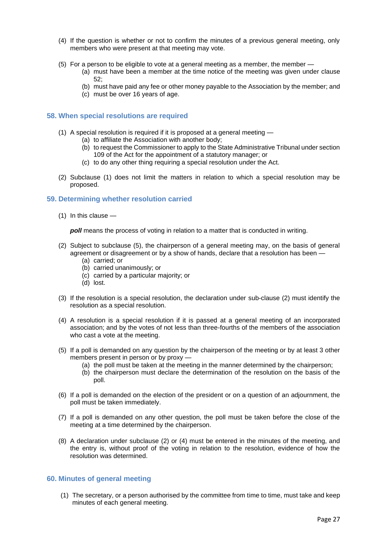- (4) If the question is whether or not to confirm the minutes of a previous general meeting, only members who were present at that meeting may vote.
- (5) For a person to be eligible to vote at a general meeting as a member, the member
	- (a) must have been a member at the time notice of the meeting was given under clause 52;
	- (b) must have paid any fee or other money payable to the Association by the member; and
	- (c) must be over 16 years of age.

#### <span id="page-26-0"></span>**58. When special resolutions are required**

- (1) A special resolution is required if it is proposed at a general meeting
	- (a) to affiliate the Association with another body;
		- (b) to request the Commissioner to apply to the State Administrative Tribunal under section 109 of the Act for the appointment of a statutory manager; or
		- (c) to do any other thing requiring a special resolution under the Act.
- (2) Subclause (1) does not limit the matters in relation to which a special resolution may be proposed.

#### <span id="page-26-1"></span>**59. Determining whether resolution carried**

(1) In this clause —

**poll** means the process of voting in relation to a matter that is conducted in writing.

- (2) Subject to subclause (5), the chairperson of a general meeting may, on the basis of general agreement or disagreement or by a show of hands, declare that a resolution has been —
	- (a) carried; or
	- (b) carried unanimously; or
	- (c) carried by a particular majority; or
	- (d) lost.
- (3) If the resolution is a special resolution, the declaration under sub-clause (2) must identify the resolution as a special resolution.
- (4) A resolution is a special resolution if it is passed at a general meeting of an incorporated association; and by the votes of not less than three-fourths of the members of the association who cast a vote at the meeting.
- (5) If a poll is demanded on any question by the chairperson of the meeting or by at least 3 other members present in person or by proxy —
	- (a) the poll must be taken at the meeting in the manner determined by the chairperson;
	- (b) the chairperson must declare the determination of the resolution on the basis of the poll.
- (6) If a poll is demanded on the election of the president or on a question of an adjournment, the poll must be taken immediately.
- (7) If a poll is demanded on any other question, the poll must be taken before the close of the meeting at a time determined by the chairperson.
- (8) A declaration under subclause (2) or (4) must be entered in the minutes of the meeting, and the entry is, without proof of the voting in relation to the resolution, evidence of how the resolution was determined.

#### <span id="page-26-2"></span>**60. Minutes of general meeting**

(1) The secretary, or a person authorised by the committee from time to time, must take and keep minutes of each general meeting.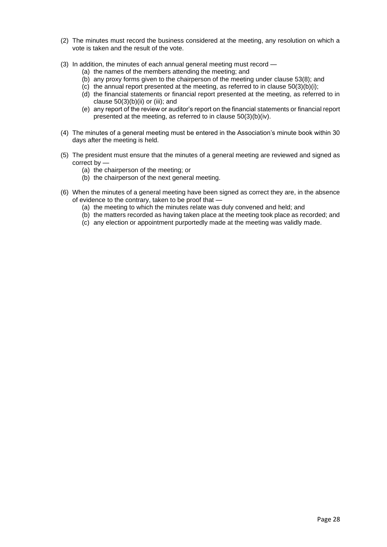- (2) The minutes must record the business considered at the meeting, any resolution on which a vote is taken and the result of the vote.
- (3) In addition, the minutes of each annual general meeting must record
	- (a) the names of the members attending the meeting; and
	- (b) any proxy forms given to the chairperson of the meeting under clause 53(8); and
	- (c) the annual report presented at the meeting, as referred to in clause  $50(3)(b)(i)$ ;
	- (d) the financial statements or financial report presented at the meeting, as referred to in clause  $50(3)(b)(ii)$  or (iii); and
	- (e) any report of the review or auditor's report on the financial statements or financial report presented at the meeting, as referred to in clause 50(3)(b)(iv).
- (4) The minutes of a general meeting must be entered in the Association's minute book within 30 days after the meeting is held.
- (5) The president must ensure that the minutes of a general meeting are reviewed and signed as correct by —
	- (a) the chairperson of the meeting; or
	- (b) the chairperson of the next general meeting.
- (6) When the minutes of a general meeting have been signed as correct they are, in the absence of evidence to the contrary, taken to be proof that —
	- (a) the meeting to which the minutes relate was duly convened and held; and
	- (b) the matters recorded as having taken place at the meeting took place as recorded; and
	- (c) any election or appointment purportedly made at the meeting was validly made.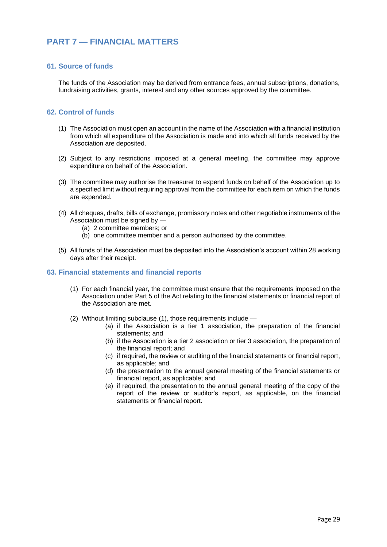# <span id="page-28-0"></span>**PART 7 — FINANCIAL MATTERS**

#### <span id="page-28-1"></span>**61. Source of funds**

The funds of the Association may be derived from entrance fees, annual subscriptions, donations, fundraising activities, grants, interest and any other sources approved by the committee.

#### <span id="page-28-2"></span>**62. Control of funds**

- (1) The Association must open an account in the name of the Association with a financial institution from which all expenditure of the Association is made and into which all funds received by the Association are deposited.
- (2) Subject to any restrictions imposed at a general meeting, the committee may approve expenditure on behalf of the Association.
- (3) The committee may authorise the treasurer to expend funds on behalf of the Association up to a specified limit without requiring approval from the committee for each item on which the funds are expended.
- (4) All cheques, drafts, bills of exchange, promissory notes and other negotiable instruments of the Association must be signed by -
	- (a) 2 committee members; or
	- (b) one committee member and a person authorised by the committee.
- (5) All funds of the Association must be deposited into the Association's account within 28 working days after their receipt.

#### <span id="page-28-3"></span>**63. Financial statements and financial reports**

- (1) For each financial year, the committee must ensure that the requirements imposed on the Association under Part 5 of the Act relating to the financial statements or financial report of the Association are met.
- <span id="page-28-4"></span>(2) Without limiting subclause (1), those requirements include —
	- (a) if the Association is a tier 1 association, the preparation of the financial statements; and
	- (b) if the Association is a tier 2 association or tier 3 association, the preparation of the financial report; and
	- (c) if required, the review or auditing of the financial statements or financial report, as applicable; and
	- (d) the presentation to the annual general meeting of the financial statements or financial report, as applicable; and
	- (e) if required, the presentation to the annual general meeting of the copy of the report of the review or auditor's report, as applicable, on the financial statements or financial report.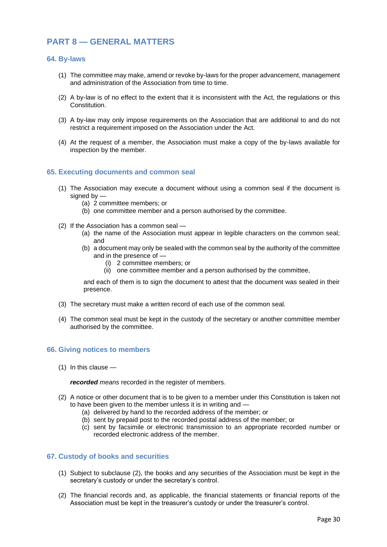# **PART 8 — GENERAL MATTERS**

#### <span id="page-29-0"></span>**64. By-laws**

- (1) The committee may make, amend or revoke by-laws for the proper advancement, management and administration of the Association from time to time.
- (2) A by-law is of no effect to the extent that it is inconsistent with the Act, the regulations or this Constitution.
- (3) A by-law may only impose requirements on the Association that are additional to and do not restrict a requirement imposed on the Association under the Act.
- (4) At the request of a member, the Association must make a copy of the by-laws available for inspection by the member.

#### <span id="page-29-1"></span>**65. Executing documents and common seal**

- (1) The Association may execute a document without using a common seal if the document is signed by  $-$ 
	- (a) 2 committee members; or
	- (b) one committee member and a person authorised by the committee.
- (2) If the Association has a common seal
	- (a) the name of the Association must appear in legible characters on the common seal; and
	- (b) a document may only be sealed with the common seal by the authority of the committee and in the presence of —
		- (i) 2 committee members; or
		- (ii) one committee member and a person authorised by the committee,

and each of them is to sign the document to attest that the document was sealed in their presence.

- (3) The secretary must make a written record of each use of the common seal.
- (4) The common seal must be kept in the custody of the secretary or another committee member authorised by the committee.

#### <span id="page-29-2"></span>**66. Giving notices to members**

(1) In this clause —

*recorded means* recorded in the register of members.

- (2) A notice or other document that is to be given to a member under this Constitution is taken not to have been given to the member unless it is in writing and —
	- (a) delivered by hand to the recorded address of the member; or
	- (b) sent by prepaid post to the recorded postal address of the member; or
	- (c) sent by facsimile or electronic transmission to an appropriate recorded number or recorded electronic address of the member.

#### <span id="page-29-3"></span>**67. Custody of books and securities**

- (1) Subject to subclause (2), the books and any securities of the Association must be kept in the secretary's custody or under the secretary's control.
- (2) The financial records and, as applicable, the financial statements or financial reports of the Association must be kept in the treasurer's custody or under the treasurer's control.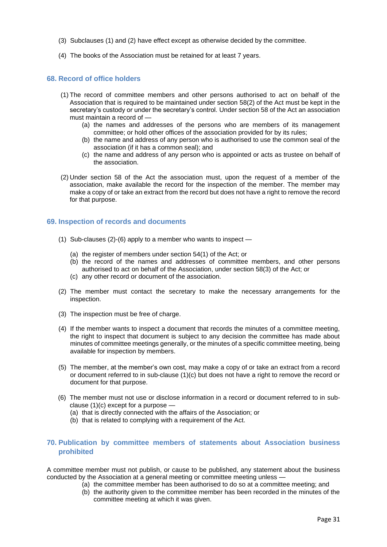- (3) Subclauses (1) and (2) have effect except as otherwise decided by the committee.
- (4) The books of the Association must be retained for at least 7 years.

#### <span id="page-30-0"></span>**68. Record of office holders**

- (1) The record of committee members and other persons authorised to act on behalf of the Association that is required to be maintained under section 58(2) of the Act must be kept in the secretary's custody or under the secretary's control. Under section 58 of the Act an association must maintain a record of —
	- (a) the names and addresses of the persons who are members of its management committee; or hold other offices of the association provided for by its rules;
	- (b) the name and address of any person who is authorised to use the common seal of the association (if it has a common seal); and
	- (c) the name and address of any person who is appointed or acts as trustee on behalf of the association.
- (2) Under section 58 of the Act the association must, upon the request of a member of the association, make available the record for the inspection of the member. The member may make a copy of or take an extract from the record but does not have a right to remove the record for that purpose.

#### <span id="page-30-1"></span>**69. Inspection of records and documents**

- (1) Sub-clauses (2)-(6) apply to a member who wants to inspect
	- (a) the register of members under section 54(1) of the Act; or
	- (b) the record of the names and addresses of committee members, and other persons authorised to act on behalf of the Association, under section 58(3) of the Act; or
	- (c) any other record or document of the association.
- (2) The member must contact the secretary to make the necessary arrangements for the inspection.
- (3) The inspection must be free of charge.
- (4) If the member wants to inspect a document that records the minutes of a committee meeting, the right to inspect that document is subject to any decision the committee has made about minutes of committee meetings generally, or the minutes of a specific committee meeting, being available for inspection by members.
- (5) The member, at the member's own cost, may make a copy of or take an extract from a record or document referred to in sub-clause (1)(c) but does not have a right to remove the record or document for that purpose.
- (6) The member must not use or disclose information in a record or document referred to in subclause (1)(c) except for a purpose —
	- (a) that is directly connected with the affairs of the Association; or
	- (b) that is related to complying with a requirement of the Act.

#### <span id="page-30-2"></span>**70. Publication by committee members of statements about Association business prohibited**

A committee member must not publish, or cause to be published, any statement about the business conducted by the Association at a general meeting or committee meeting unless —

- (a) the committee member has been authorised to do so at a committee meeting; and
- (b) the authority given to the committee member has been recorded in the minutes of the committee meeting at which it was given.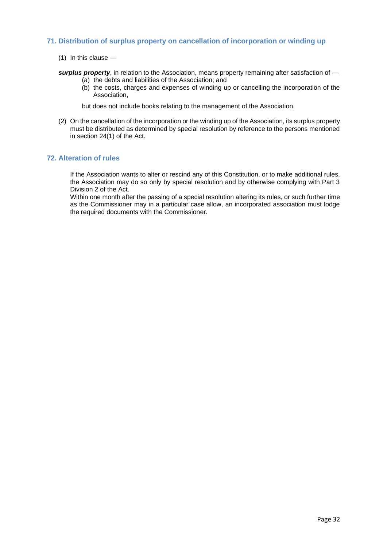#### <span id="page-31-0"></span>**71. Distribution of surplus property on cancellation of incorporation or winding up**

(1) In this clause —

*surplus property*, in relation to the Association, means property remaining after satisfaction of —

- (a) the debts and liabilities of the Association; and
- (b) the costs, charges and expenses of winding up or cancelling the incorporation of the Association,

but does not include books relating to the management of the Association.

(2) On the cancellation of the incorporation or the winding up of the Association, its surplus property must be distributed as determined by special resolution by reference to the persons mentioned in section 24(1) of the Act.

#### <span id="page-31-1"></span>**72. Alteration of rules**

If the Association wants to alter or rescind any of this Constitution, or to make additional rules, the Association may do so only by special resolution and by otherwise complying with Part 3 Division 2 of the Act.

<span id="page-31-2"></span>Within one month after the passing of a special resolution altering its rules, or such further time as the Commissioner may in a particular case allow, an incorporated association must lodge the required documents with the Commissioner.